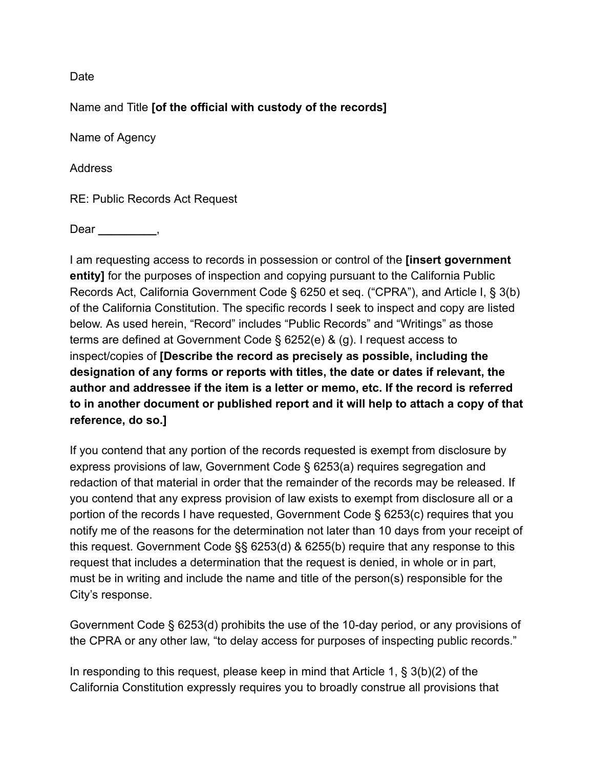Date

Name and Title **[of the official with custody of the records]** 

Name of Agency

Address

RE: Public Records Act Request

Dear <u>\_\_\_\_</u>

I am requesting access to records in possession or control of the **[insert government entity]** for the purposes of inspection and copying pursuant to the California Public Records Act, California Government Code § 6250 et seq. ("CPRA"), and Article I, § 3(b) of the California Constitution. The specific records I seek to inspect and copy are listed below. As used herein, "Record" includes "Public Records" and "Writings" as those terms are defined at Government Code § 6252(e) & (g). I request access to inspect/copies of **[Describe the record as precisely as possible, including the designation of any forms or reports with titles, the date or dates if relevant, the author and addressee if the item is a letter or memo, etc. If the record is referred to in another document or published report and it will help to attach a copy of that reference, do so.]** 

If you contend that any portion of the records requested is exempt from disclosure by express provisions of law, Government Code § 6253(a) requires segregation and redaction of that material in order that the remainder of the records may be released. If you contend that any express provision of law exists to exempt from disclosure all or a portion of the records I have requested, Government Code § 6253(c) requires that you notify me of the reasons for the determination not later than 10 days from your receipt of this request. Government Code §§ 6253(d) & 6255(b) require that any response to this request that includes a determination that the request is denied, in whole or in part, must be in writing and include the name and title of the person(s) responsible for the City's response.

Government Code § 6253(d) prohibits the use of the 10-day period, or any provisions of the CPRA or any other law, "to delay access for purposes of inspecting public records."

In responding to this request, please keep in mind that Article 1, § 3(b)(2) of the California Constitution expressly requires you to broadly construe all provisions that